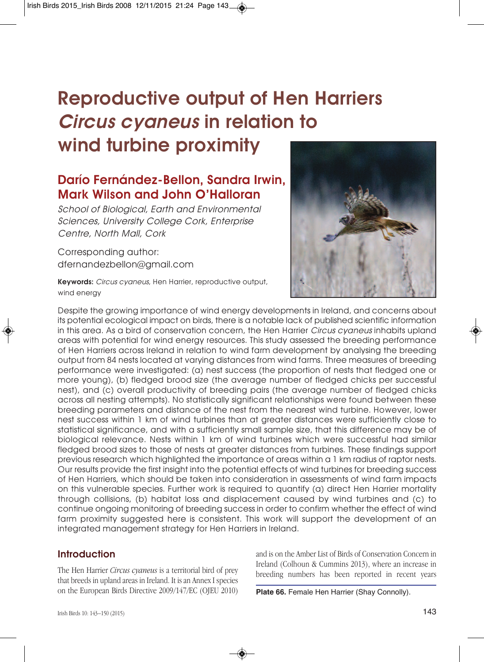# **Reproductive output of Hen Harriers Circus cyaneus in relation to wind turbine proximity**

# **Darío Fernández-Bellon, Sandra Irwin, Mark Wilson and John O'Halloran**

School of Biological, Earth and Environmental Sciences, University College Cork, Enterprise Centre, North Mall, Cork

Corresponding author: dfernandezbellon@gmail.com

**Keywords:** Circus cyaneus, Hen Harrier, reproductive output, wind energy



Despite the growing importance of wind energy developments in Ireland, and concerns about its potential ecological impact on birds, there is a notable lack of published scientific information in this area. As a bird of conservation concern, the Hen Harrier Circus cyaneus inhabits upland areas with potential for wind energy resources. This study assessed the breeding performance of Hen Harriers across Ireland in relation to wind farm development by analysing the breeding output from 84 nests located at varying distances from wind farms. Three measures of breeding performance were investigated: (a) nest success (the proportion of nests that fledged one or more young), (b) fledged brood size (the average number of fledged chicks per successful nest), and (c) overall productivity of breeding pairs (the average number of fledged chicks across all nesting attempts). No statistically significant relationships were found between these breeding parameters and distance of the nest from the nearest wind turbine. However, lower nest success within 1 km of wind turbines than at greater distances were sufficiently close to statistical significance, and with a sufficiently small sample size, that this difference may be of biological relevance. Nests within 1 km of wind turbines which were successful had similar fledged brood sizes to those of nests at greater distances from turbines. These findings support previous research which highlighted the importance of areas within a 1 km radius of raptor nests. Our results provide the first insight into the potential effects of wind turbines for breeding success of Hen Harriers, which should be taken into consideration in assessments of wind farm impacts on this vulnerable species. Further work is required to quantify (a) direct Hen Harrier mortality through collisions, (b) habitat loss and displacement caused by wind turbines and (c) to continue ongoing monitoring of breeding success in order to confirm whether the effect of wind farm proximity suggested here is consistent. This work will support the development of an integrated management strategy for Hen Harriers in Ireland.

#### **Introduction**

The Hen Harrier *Circus cyaneus* is a territorial bird of prey that breeds in upland areas in Ireland. It is an Annex I species on the European Birds Directive 2009/147/EC (OJEU 2010) and is on the Amber List of Birds of Conservation Concern in Ireland (Colhoun & Cummins 2013), where an increase in breeding numbers has been reported in recent years

**Plate 66.** Female Hen Harrier (Shay Connolly).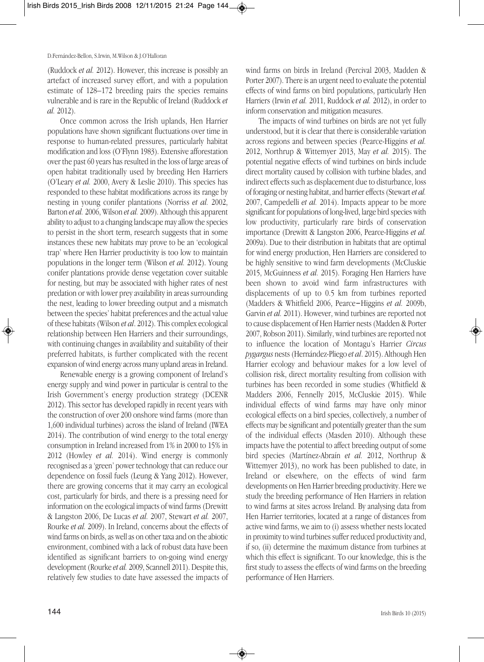(Ruddock *et al.* 2012). However, this increase is possibly an artefact of increased survey effort, and with a population estimate of 128–172 breeding pairs the species remains vulnerable and is rare in the Republic of Ireland (Ruddock *et al.* 2012).

Once common across the Irish uplands, Hen Harrier populations have shown significant fluctuations over time in response to human-related pressures, particularly habitat modification and loss (O'Flynn 1983). Extensive afforestation over the past 60 years has resulted in the loss of large areas of open habitat traditionally used by breeding Hen Harriers (O'Leary *et al.* 2000, Avery & Leslie 2010). This species has responded to these habitat modifications across its range by nesting in young conifer plantations (Norriss *et al.* 2002, Barton *et al.* 2006, Wilson *et al.* 2009). Although this apparent ability to adjust to a changing landscape may allow the species to persist in the short term, research suggests that in some instances these new habitats may prove to be an 'ecological trap' where Hen Harrier productivity is too low to maintain populations in the longer term (Wilson *et al.* 2012). Young conifer plantations provide dense vegetation cover suitable for nesting, but may be associated with higher rates of nest predation or with lower preyavailability in areas surrounding the nest, leading to lower breeding output and a mismatch between the species' habitat preferences and the actual value of these habitats (Wilson *et al*. 2012). Thiscomplex ecological relationship between Hen Harriers and their surroundings, with continuing changes in availability and suitability of their preferred habitats, is further complicated with the recent expansion of wind energyacrossmany upland areas in Ireland.

Renewable energy is a growing component of Ireland's energy supply and wind power in particular is central to the Irish Government's energy production strategy (DCENR 2012). This sector has developed rapidly in recent years with the construction of over 200 onshore wind farms (more than 1,600 individual turbines) across the island of Ireland (IWEA 2014). The contribution of wind energy to the total energy consumption in Ireland increased from 1% in 2000 to 15% in 2012 (Howley *et al.* 2014). Wind energy is commonly recognised as a 'green' power technology that can reduce our dependence on fossil fuels (Leung & Yang 2012). However, there are growing concerns that it may carry an ecological cost, particularly for birds, and there is a pressing need for information on the ecological impacts of wind farms (Drewitt & Langston 2006, De Lucas *et al.* 2007, Stewart *et al.* 2007, Rourke *et al.* 2009). In Ireland, concerns about the effects of wind farms on birds, as well as on other taxa and on the abiotic environment, combined with a lack of robust data have been identified as significant barriers to on-going wind energy development (Rourke *et al.* 2009, Scannell 2011). Despite this, relatively few studies to date have assessed the impacts of

wind farms on birds in Ireland (Percival 2003, Madden & Porter 2007). There is an urgent need to evaluate the potential effects of wind farms on bird populations, particularly Hen Harriers (Irwin *et al.* 2011, Ruddock *et al.* 2012), in order to inform conservation and mitigation measures.

The impacts of wind turbines on birds are not yet fully understood, but it is clear that there is considerable variation across regions and between species (Pearce-Higgins *et al.* 2012, Northrup & Wittemyer 2013, May *et al.* 2015). The potential negative effects of wind turbines on birds include direct mortality caused by collision with turbine blades, and indirect effects such as displacement due to disturbance, loss of foraging or nesting habitat,and barrier effects (Stewart*et al.* 2007, Campedelli *et al.* 2014). Impacts appear to be more significant for populations of long-lived, large bird species with low productivity, particularly rare birds of conservation importance (Drewitt & Langston 2006, Pearce-Higgins *et al.* 2009a). Due to their distribution in habitats that are optimal for wind energy production, Hen Harriers are considered to be highly sensitive to wind farm developments (McCluskie 2015, McGuinness *et al.* 2015). Foraging Hen Harriers have been shown to avoid wind farm infrastructures with displacements of up to 0.5 km from turbines reported (Madders & Whitfield 2006, Pearce‐Higgins *et al.* 2009b, Garvin *et al.* 2011). However, wind turbines are reported not to cause displacement of Hen Harrier nests (Madden & Porter 2007, Robson 2011). Similarly, wind turbines are reported not to influence the location of Montagu's Harrier *Circus pygargus* nests (Hernández-Pliego *et al*. 2015). Although Hen Harrier ecology and behaviour makes for a low level of collision risk, direct mortality resulting from collision with turbines has been recorded in some studies (Whitfield & Madders 2006, Fennelly 2015, McCluskie 2015). While individual effects of wind farms may have only minor ecological effects on a bird species, collectively, a number of effects may be significant and potentially greater than the sum of the individual effects (Masden 2010). Although these impacts have the potential to affect breeding output of some bird species (Martínez-Abraín *et al.* 2012, Northrup & Wittemyer 2013), no work has been published to date, in Ireland or elsewhere, on the effects of wind farm developments on Hen Harrier breeding productivity. Here we study the breeding performance of Hen Harriers in relation to wind farms at sites across Ireland. By analysing data from Hen Harrier territories, located at a range of distances from active wind farms, we aim to (i) assess whether nests located in proximity to wind turbines suffer reduced productivity and, if so, (ii) determine the maximum distance from turbines at which this effect is significant. To our knowledge, this is the first study to assess the effects of wind farms on the breeding performance of Hen Harriers.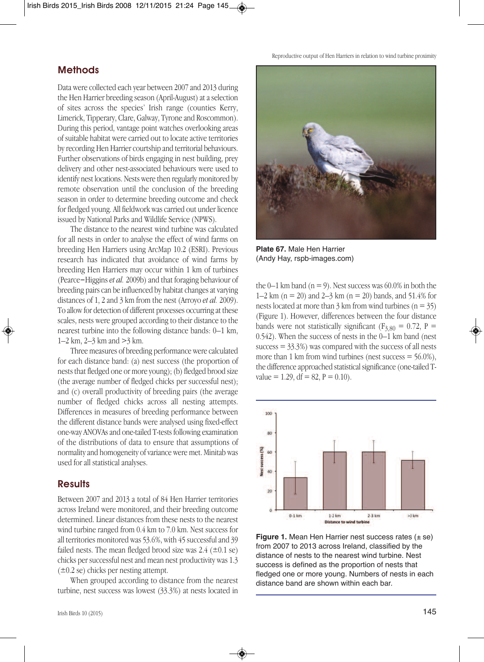**Methods**

Limerick, Tipperary, Clare, Galway, Tyrone and Roscommon). During this period, vantage point watches overlooking areas of suitable habitat were carried out to locate active territories by recording Hen Harrier courtship and territorial behaviours. Further observations of birds engaging in nest building, prey delivery and other nest-associated behaviours were used to identify nest locations. Nests were then regularly monitored by remote observation until the conclusion of the breeding season in order to determine breeding outcome and check for fledged young. All fieldwork was carried out under licence issued by National Parks and Wildlife Service (NPWS).

Data were collected each year between 2007 and 2013 during the Hen Harrier breeding season (April-August) at a selection of sites across the species' Irish range (counties Kerry,

The distance to the nearest wind turbine was calculated for all nests in order to analyse the effect of wind farms on breeding Hen Harriers using ArcMap 10.2 (ESRI). Previous research has indicated that avoidance of wind farms by breeding Hen Harriers may occur within 1 km of turbines (Pearce‐Higgins *et al.* 2009b) and that foraging behaviour of breeding pairs can be influenced by habitat changes at varying distances of 1, 2 and 3 km from the nest (Arroyo *et al.* 2009). To allow for detection of different processes occurring at these scales, nests were grouped according to their distance to the nearest turbine into the following distance bands: 0–1 km, 1–2 km, 2–3 km and >3 km.

Three measures of breeding performance were calculated for each distance band: (a) nest success (the proportion of nests that fledged one ormore young); (b) fledged brood size (the average number of fledged chicks per successful nest); and (c) overall productivity of breeding pairs (the average number of fledged chicks across all nesting attempts. Differences in measures of breeding performance between the different distance bands were analysed using fixed-effect one-way ANOVAs and one-tailed T-tests following examination of the distributions of data to ensure that assumptions of normality and homogeneity of variance were met. Minitab was used for all statistical analyses.

### **Results**

Between 2007 and 2013 a total of 84 Hen Harrier territories across Ireland were monitored, and their breeding outcome determined. Linear distances from these nests to the nearest wind turbine ranged from 0.4 km to 7.0 km. Nest success for all territories monitored was 53.6%, with 45 successfuland 39 failed nests. The mean fledged brood size was  $2.4$  ( $\pm 0.1$  se) chicks per successful nest and mean nest productivity was 1.3  $(\pm 0.2 \text{ se})$  chicks per nesting attempt.

When grouped according to distance from the nearest turbine, nest success was lowest (33.3%) at nests located in



**Plate 67.** Male Hen Harrier (Andy Hay, rspb-images.com)

the  $0-1$  km band ( $n = 9$ ). Nest success was 60.0% in both the 1–2 km ( $n = 20$ ) and 2–3 km ( $n = 20$ ) bands, and 51.4% for nests located at more than  $3 \text{ km}$  from wind turbines (n =  $35$ ) (Figure 1). However, differences between the four distance bands were not statistically significant ( $F_{3,80} = 0.72$ ,  $P =$ 0.542). When the success of nests in the 0–1 km band (nest  $success = 33.3\%)$  was compared with the success of all nests more than 1 km from wind turbines (nest success  $=$  56.0%), the difference approached statistical significance (one-tailed Tvalue = 1.29, df = 82,  $P = 0.10$ ).



**Figure 1.** Mean Hen Harrier nest success rates ( $\pm$  se) from 2007 to 2013 across Ireland, classified by the distance of nests to the nearest wind turbine. Nest success is defined as the proportion of nests that fledged one or more young. Numbers of nests in each distance band are shown within each bar.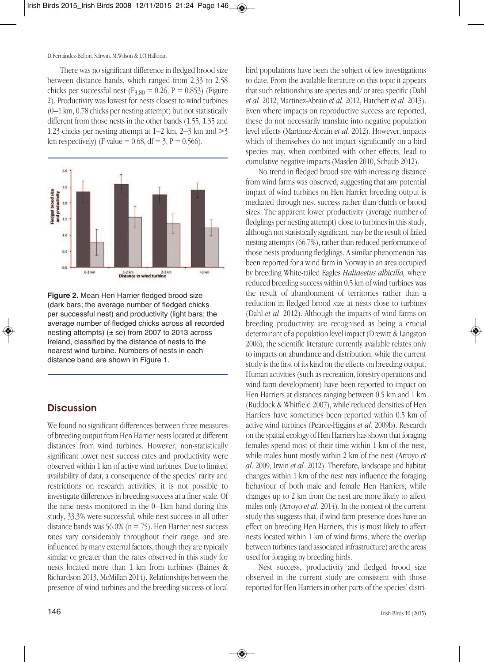There was no significant difference in fledged brood size between distance bands, which ranged from 2.33 to 2.58 chicks per successful nest ( $F_{3,80} = 0.26$ ,  $P = 0.853$ ) (Figure 2). Productivity was lowest for nests closest to wind turbines (0–1 km, 0.78 chicks per nesting attempt) but not statistically different from those nests in the other bands (1.55, 1.35 and 1.23 chicks per nesting attempt at  $1-2$  km,  $2-3$  km and  $>3$ km respectively) (F-value =  $0.68$ , df =  $3$ , P =  $0.566$ ).





### **Discussion**

We found no significant differences between three measures of breeding output from Hen Harrier nests located at different distances from wind turbines. However, non-statistically significant lower nest success rates and productivity were observed within 1 km of active wind turbines. Due to limited availability of data, a consequence of the species' rarity and restrictions on research activities, it is not possible to investigate differences in breeding success at a finer scale. Of the nine nests monitored in the 0–1km band during this study, 33.3% were successful, while nest success in all other distance bands was 56.0% ( $n = 75$ ). Hen Harrier nest success rates vary considerably throughout their range, and are influenced by many external factors, though theyare typically similar or greater than the rates observed in this study for nests located more than 1 km from turbines (Baines & Richardson 2013, McMillan 2014). Relationships between the presence of wind turbines and the breeding success of local

bird populations have been the subject of few investigations to date. From the available literature on this topic it appears that such relationships are species and/ or area specific (Dahl *et al.* 2012, Martínez-Abraín *et al.* 2012, Hatchett *et al.* 2013). Even where impacts on reproductive success are reported, these do not necessarily translate into negative population level effects (Martínez-Abraín *et al.* 2012). However, impacts which of themselves do not impact significantly on a bird species may, when combined with other effects, lead to cumulative negative impacts (Masden 2010, Schaub 2012).

No trend in fledged brood size with increasing distance from wind farms was observed, suggesting that any potential impact of wind turbines on Hen Harrier breeding output is mediated through nest success rather than clutch or brood sizes. The apparent lower productivity (average number of fledglings per nesting attempt) close to turbines in this study, although not statistically significant, may be the result of failed nesting attempts (66.7%), rather than reduced performance of those nests producing fledglings. A similar phenomenon has been reported for a wind farm in Norway in an area occupied by breeding White-tailed Eagles *Haliaeetus albicilla,* where reduced breeding success within 0.5 km of wind turbines was the result of abandonment of territories rather than a reduction in fledged brood size at nests close to turbines (Dahl *et al*. 2012). Although the impacts of wind farms on breeding productivity are recognised as being a crucial determinant of a population level impact (Drewitt & Langston 2006), the scientific literature currently available relates only to impacts on abundance and distribution, while the current study is the first of its kind on the effects on breeding output. Human activities (such as recreation, forestry operations and wind farm development) have been reported to impact on Hen Harriers at distances ranging between 0.5 km and 1 km (Ruddock & Whitfield 2007), while reduced densities of Hen Harriers have sometimes been reported within 0.5 km of active wind turbines (Pearce-Higgins *et al.* 2009b). Research on the spatial ecology of Hen Harriers has shown that foraging females spend most of their time within 1 km of the nest, while males hunt mostly within 2 km of the nest (Arroyo *et al*. 2009, Irwin *et al.* 2012). Therefore, landscape and habitat changes within 1 km of the nest may influence the foraging behaviour of both male and female Hen Harriers, while changes up to 2 km from the nest are more likely to affect males only (Arroyo *et al.* 2014). In the context of the current study this suggests that, if wind farm presence does have an effect on breeding Hen Harriers, this is most likely to affect nests located within 1 km of wind farms, where the overlap between turbines (and associated infrastructure) are the areas used for foraging by breeding birds.

Nest success, productivity and fledged brood size observed in the current study are consistent with those reported for Hen Harriers in other parts of the species' distri-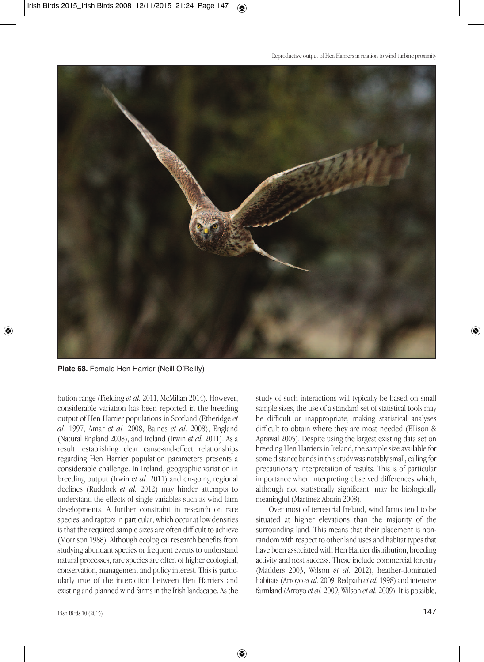

**Plate 68.** Female Hen Harrier (Neill O'Reilly)

bution range (Fielding *et al.* 2011, McMillan 2014). However, considerable variation has been reported in the breeding output of Hen Harrier populations in Scotland (Etheridge *et al*. 1997, Amar *et al.* 2008, Baines *et al.* 2008), England (Natural England 2008), and Ireland (Irwin *et al.* 2011). As a result, establishing clear cause-and-effect relationships regarding Hen Harrier population parameters presents a considerable challenge. In Ireland, geographic variation in breeding output (Irwin e*t al.* 2011) and on-going regional declines (Ruddock *et al.* 2012) may hinder attempts to understand the effects of single variables such as wind farm developments. A further constraint in research on rare species, and raptors in particular, which occur at low densities is that the required sample sizes are often difficult to achieve (Morrison 1988). Although ecological research benefits from studying abundant species or frequent events to understand natural processes, rare species are often of higher ecological, conservation, management and policy interest. This is particularly true of the interaction between Hen Harriers and existing and planned wind farms in the Irish landscape. As the

Irish Birds 10 (2015) **147** 

study of such interactions will typically be based on small sample sizes, the use of a standard set of statistical tools may be difficult or inappropriate, making statistical analyses difficult to obtain where they are most needed (Ellison & Agrawal 2005). Despite using the largest existing data set on breeding Hen Harriers in Ireland, the sample size available for some distance bands in this study was notably small, calling for precautionary interpretation of results. This is of particular importance when interpreting observed differences which, although not statistically significant, may be biologically meaningful (Martínez-Abraín 2008).

Over most of terrestrial Ireland, wind farms tend to be situated at higher elevations than the majority of the surrounding land. This means that their placement is nonrandom with respect to other land uses and habitat types that have been associated with Hen Harrier distribution, breeding activity and nest success. These include commercial forestry (Madders 2003, Wilson *et al.* 2012), heather-dominated habitats (Arroyo *et al.* 2009, Redpath *et al.* 1998) and intensive farmland (Arroyo *et al.* 2009,Wilson *et al.* 2009). It is possible,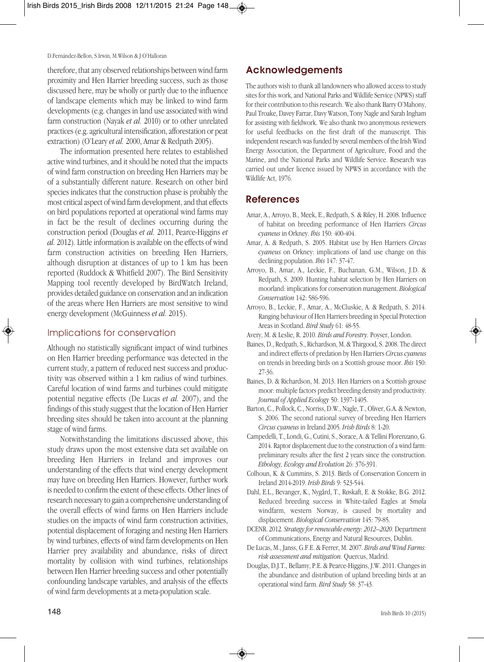D.Fernández-Bellon, S.Irwin, M.Wilson & J.O'Halloran

therefore, that any observed relationships between wind farm proximity and Hen Harrier breeding success, such as those discussed here, may be wholly or partly due to the influence of landscape elements which may be linked to wind farm developments (e.g. changes in land use associated with wind farm construction (Nayak *et al.* 2010) or to other unrelated practices (e.g.agricultural intensification,afforestation or peat extraction) (O'Leary *et al.* 2000, Amar & Redpath 2005).

The information presented here relates to established active wind turbines, and it should be noted that the impacts of wind farm construction on breeding Hen Harriers may be of a substantially different nature. Research on other bird species indicates that the construction phase is probably the most critical aspect of wind farm development, and that effects on bird populations reported at operational wind farms may in fact be the result of declines occurring during the construction period (Douglas *et al.* 2011, Pearce-Higgins *et al.* 2012).Little information is available on the effects of wind farm construction activities on breeding Hen Harriers, although disruption at distances of up to 1 km has been reported (Ruddock & Whitfield 2007). The Bird Sensitivity Mapping tool recently developed by BirdWatch Ireland, provides detailed guidance on conservation and an indication of the areas where Hen Harriers are most sensitive to wind energy development (McGuinness *et al.* 2015).

#### Implications for conservation

Although no statistically significant impact of wind turbines on Hen Harrier breeding performance was detected in the current study, a pattern of reduced nest success and productivity was observed within a 1 km radius of wind turbines. Careful location of wind farms and turbines could mitigate potential negative effects (De Lucas *et al.* 2007), and the findings of this study suggest that the location of Hen Harrier breeding sites should be taken into account at the planning stage of wind farms.

Notwithstanding the limitations discussed above, this study draws upon the most extensive data set available on breeding Hen Harriers in Ireland and improves our understanding of the effects that wind energy development may have on breeding Hen Harriers. However, further work is needed to confirm the extent of these effects. Other lines of research necessary to gain a comprehensive understanding of the overall effects of wind farms on Hen Harriers include studies on the impacts of wind farm construction activities, potential displacement of foraging and nesting Hen Harriers by wind turbines, effects of wind farm developments on Hen Harrier prey availability and abundance, risks of direct mortality by collision with wind turbines, relationships between Hen Harrier breeding success and other potentially confounding landscape variables, and analysis of the effects of wind farm developments at a meta-population scale.

## **Acknowledgements**

The authors wish to thank all landowners who allowed access to study sites for this work, and National Parks and Wildlife Service (NPWS) staff for their contribution to this research. We also thank Barry O'Mahony, Paul Troake, Davey Farrar, DavyWatson, Tony Nagle and Sarah Ingham for assisting with fieldwork. We also thank two anonymous reviewers for useful feedbacks on the first draft of the manuscript. This independent research was funded by several members of the Irish Wind Energy Association, the Department of Agriculture, Food and the Marine, and the National Parks and Wildlife Service. Research was carried out under licence issued by NPWS in accordance with the Wildlife Act, 1976.

#### **References**

- Amar, A., Arroyo, B., Meek, E., Redpath, S. & Riley, H. 2008. Influence of habitat on breeding performance of Hen Harriers *Circus cyaneus* in Orkney. *Ibis* 150: 400-404.
- Amar, A. & Redpath, S. 2005. Habitat use by Hen Harriers *Circus cyaneus* on Orkney: implications of land use change on this declining population. *Ibis* 147: 37-47.
- Arroyo, B., Amar, A., Leckie, F., Buchanan, G.M., Wilson, J.D. & Redpath, S. 2009. Hunting habitat selection by Hen Harriers on moorland: implications forconservation management. *Biological Conservation* 142: 586-596.
- Arroyo, B., Leckie, F., Amar, A., McCluskie, A. & Redpath, S. 2014. Ranging behaviour of Hen Harriers breeding in Special Protection Areas in Scotland. *Bird Study* 61: 48-55.
- Avery, M. & Leslie, R. 2010. *Birds and Forestry.* Poyser, London.
- Baines, D., Redpath, S., Richardson, M. & Thirgood, S. 2008. The direct and indirect effects of predation by Hen Harriers *Circus cyaneus* on trends in breeding birds on a Scottish grouse moor. *Ibis* 150: 27-36.
- Baines, D. & Richardson, M. 2013. Hen Harriers on a Scottish grouse moor: multiple factors predict breeding densityand productivity. *Journal of Applied Ecology* 50: 1397-1405.
- Barton, C., Pollock, C., Norriss, D.W., Nagle, T., Oliver, G.A. & Newton, S. 2006. The second national survey of breeding Hen Harriers *Circus cyaneus* in Ireland 2005. *Irish Birds* 8: 1-20.
- Campedelli, T.,Londi, G., Cutini, S., Sorace, A. & Tellini Florenzano, G. 2014. Raptor displacement due to the construction of a wind farm: preliminary results after the first 2 years since the construction. *Ethology, Ecology and Evolution* 26: 376-391.
- Colhoun, K. & Cummins, S. 2013. Birds of Conservation Concern in Ireland 2014-2019. *Irish Birds* 9: 523-544.
- Dahl, E.L., Bevanger, K., Nygård, T., Røskaft, E. & Stokke, B.G. 2012. Reduced breeding success in White-tailed Eagles at Smøla windfarm, western Norway, is caused by mortality and displacement. *Biological Conservation* 145: 79-85.
- DCENR. 2012. Strategy for renewable energy: 2012–2020. Department of Communications, Energy and Natural Resources, Dublin.
- De Lucas, M., Janss, G.F.E. & Ferrer, M. 2007. *Birds and Wind Farms: risk assessment and mitigation.* Quercus, Madrid.
- Douglas, D.J.T., Bellamy, P.E. & Pearce-Higgins, J.W. 2011. Changes in the abundance and distribution of upland breeding birds at an operational wind farm. *Bird Study* 58: 37-43.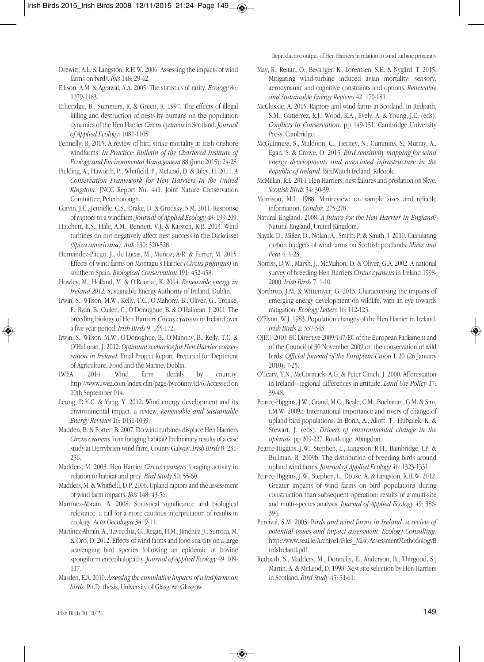- Drewitt, A.L. & Langston, R.H.W. 2006. Assessing the impacts of wind farms on birds. *Ibis* 148: 29-42.
- Ellison, A.M. & Agrawal, A.A. 2005. The statistics of rarity. *Ecology* 86: 1079-1163.
- Etheridge, B., Summers, R. & Green, R. 1997. The effects of illegal killing and destruction of nests by humans on the population dynamics of the Hen Harrier *Circuscyaneus* in Scotland. *Journal of Applied Ecology*: 1081-1105.
- Fennelly, R. 2015. A review of bird strike mortality at Irish onshore windfarms. *In Practice: Bulletin of the Chartered Institute of Ecology and Environmental Management* 88 (June 2015): 24-28.
- Fielding, A., Haworth, P., Whitfield, P., McLeod, D. & Riley, H. 2011. *A Conservation Framework for Hen Harriers in the United Kingdom.* JNCC Report No. 441. Joint Nature Conservation Committee, Peterborough.
- Garvin, J.C., Jennelle, C.S., Drake, D. & Grodsky, S.M. 2011. Response of raptors to a windfarm. *Journal of Applied Ecology* 48: 199-209.
- Hatchett, E.S., Hale, A.M., Bennett, V.J. & Karsten, K.B. 2013. Wind turbines do not negatively affect nest success in the Dickcissel *(Spiza americana). Auk* 130: 520-528.
- Hernández-Pliego, J., de Lucas, M., Muñoz, A-R. & Ferrer, M. 2015. Effects of wind farms on Montagu's Harrier *(Circus pygargus)* in southern Spain. *Biological Conservation* 191: 452-458.
- Howley, M., Holland, M. & O'Rourke, K. 2014. *Renewable energy in Ireland 2012.* Sustainable Energy Authority of Ireland, Dublin.
- Irwin, S., Wilson, M.W., Kelly, T.C., O'Mahony, B., Oliver, G., Troake, P., Ryan, B., Cullen, C., O'Donoghue, B. & O'Halloran, J. 2011. The breeding biology of Hen Harriers *Circus cyaneus* in Ireland over a five year period. *Irish Birds* 9: 165-172.
- Irwin, S., Wilson, M.W., O'Donoghue, B., O'Mahony, B., Kelly, T.C. & O'Halloran, J. 2012. Optimum scenarios for Hen Harrier conser*vation in Ireland.* Final Project Report. Prepared for Deptment of Agriculture, Food and the Marine, Dublin.
- IWEA. 2014. Wind farm details by country. http://www.iwea.com/index.cfm/page/bycounty/id/6. Accessed on 10th September 014.
- Leung, D.Y.C. & Yang, Y. 2012. Wind energy development and its environmental impact: a review. *Renewable and Sustainable Energy Reviews* 16: 1031-1039.
- Madden, B. & Porter, B. 2007. Do wind turbines displace Hen Harriers *Circus cyaneus* from foraging habitat? Preliminary results of a case studyat Derrybrien wind farm, County Galway. *Irish Birds* 8: 231- 236.
- Madders, M. 2003. Hen Harrier *Circus cyaneus* foraging activity in relation to habitat and prey. *Bird Study* 50: 55-60.
- Madders, M. & Whitfield, D.P. 2006. Upland raptors and the assessment of wind farm impacts. *Ibis* 148: 43-56.
- Martínez-Abraín, A. 2008. Statistical significance and biological relevance: a call for a more cautious interpretation of results in ecology. *Acta Oecologia* 34: 9-11.
- Martínez-Abraín, A., Tavecchia, G., Regan, H.M., Jiménez, J., Surroca, M. & Oro, D. 2012. Effects of wind farms and food scarcity on a large scavenging bird species following an epidemic of bovine spongiform encephalopathy. *Journal of Applied Ecology* 49: 109- 117.
- Masden, E.A. 2010. *Assessingthecumulativeimpacts of wind farms on birds.* Ph.D. thesis, University of Glasgow, Glasgow.
- May, R., Reitan, O., Bevanger, K., Lorentsen, S.H. & Nygård, T. 2015. Mitigating wind-turbine induced avian mortality: sensory, aerodynamic and cognitive constraints and options. *Renewable and Sustainable Energy Reviews* 42: 170-181.
- McCluskie, A. 2015. Raptors and wind farms in Scotland. In Redpath, S.M., Gutiérrez, R.J., Wood, K.A., Evely, A. & Young, J.C. (eds). *Conflicts in Conservation*. pp 149-151. Cambridge University Press, Cambridge.
- McGuinness, S., Muldoon, C., Tierney, N., Cummins, S., Murray, A., Egan, S. & Crowe, O. 2015. *Bird sensitivity mapping for wind energy developments and associated infrastructure in the Republic of Ireland*. BirdWatch Ireland, Kilcoole.
- McMillan, R.L. 2014. Hen Harriers: nest failures and predation on Skye. *Scottish Birds* 34: 30-39.
- Morrison, M.L. 1988. Minireview: on sample sizes and reliable information. *Condor*: 275-278.
- Natural England. 2008. *A future for the Hen Harrier in England?* Natural England, United Kingdom.
- Nayak, D., Miller, D., Nolan, A., Smith, P. & Smith, J. 2010. Calculating carbon budgets of wind farms on Scottish peatlands. *Mires and Peat* 4: 1-23.
- Norriss, D.W., Marsh, J., McMahon, D. & Oliver, G.A. 2002. A national survey of breeding Hen Harriers *Circus cyaneus* in Ireland 1998- 2000. *Irish Birds* 7: 1-10.
- Northrup, J.M. & Wittemyer, G. 2013. Characterising the impacts of emerging energy development on wildlife, with an eye towards mitigation. *Ecology Letters* 16: 112-125.
- O'Flynn, W.J. 1983. Population changes of the Hen Harrier in Ireland. *Irish Birds* 2: 337-343.
- OJEU. 2010. EC Directive 2009/147/EC of the European Parliament and of the Council of 30 November 2009 on the conservation of wild birds. *Official Journal of the European Union* L 20 (26 January 2010): 7-25.
- O'Leary, T.N., McCormack, A.G. & Peter Clinch, J. 2000. Afforestation in Ireland—regional differences in attitude. *Land Use Policy* 17: 39-48.
- Pearce-Higgins, J.W., Grand, M.C., Beale, C.M., Buchanan, G.M. & Sim, I.M.W. 2009a. International importance and rivers of change of upland bird populations. In Bonn, A., Allott, T., Hubacek, K. & Stewart, J. (eds). *Drivers of environmental change in the uplands.* pp 209-227. Routledge, Abingdon.
- Pearce-Higgins, J.W., Stephen, L., Langston, R.H., Bainbridge, I.P. & Bullman, R. 2009b. The distribution of breeding birds around upland wind farms*. Journal of Applied Ecology* 46: 1323-1331.
- Pearce-Higgins, J.W., Stephen,L., Douse, A. & Langston, R.H.W. 2012. Greater impacts of wind farms on bird populations during construction than subsequent operation: results of a multi-site and multi-species analysis. *Journal of Applied Ecology* 49: 386- 394.
- Percival, S.M. 2003. B*irds and wind farms in Ireland: a review of potential issues and impact assessment. Ecology Consulting*. http://www.seai.ie/Archive1/Files\_Misc/AssessmentMethodologyB irdsIreland.pdf.
- Redpath, S., Madders, M., Donnelly, E., Anderson, B., Thirgood, S., Martin, A. & McLeod, D. 1998. Nest site selection by Hen Harriers in Scotland. *Bird Study* 45: 51-61.